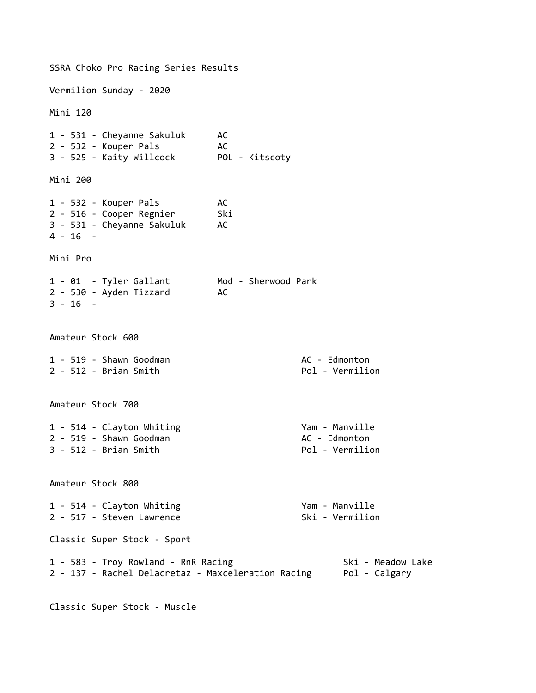SSRA Choko Pro Racing Series Results Vermilion Sunday - 2020 Mini 120 1 - 531 - Cheyanne Sakuluk AC 2 - 532 - Kouper Pals AC 3 - 525 - Kaity Willcock POL - Kitscoty Mini 200 1 - 532 - Kouper Pals AC 2 - 516 - Cooper Regnier Ski 3 - 531 - Cheyanne Sakuluk AC 4 - 16 - Mini Pro 1 - 01 - Tyler Gallant Mod - Sherwood Park 2 - 530 - Ayden Tizzard AC 3 - 16 - Amateur Stock 600 1 - 519 - Shawn Goodman<br>2 - 512 - Brian Smith<br>2 - 512 - Brian Smith  $2 - 512 -$  Brian Smith Amateur Stock 700 1 - 514 - Clayton Whiting The Manual Chamber of Manual Parameters of Manual Parameters of Manual Parameters of 2 - 519 - Shawn Goodman<br>3 - 512 - Brian Smith Action (Political Political Political Political Political Political Political Political  $3 - 512 -$  Brian Smith Amateur Stock 800 1 - 514 - Clayton Whiting The Control of Manualle 2 - 517 - Steven Lawrence Ski - Vermilion Classic Super Stock - Sport 1 - 583 - Troy Rowland - RnR Racing Ski - Meadow Lake 2 - 137 - Rachel Delacretaz - Maxceleration Racing Pol - Calgary

Classic Super Stock - Muscle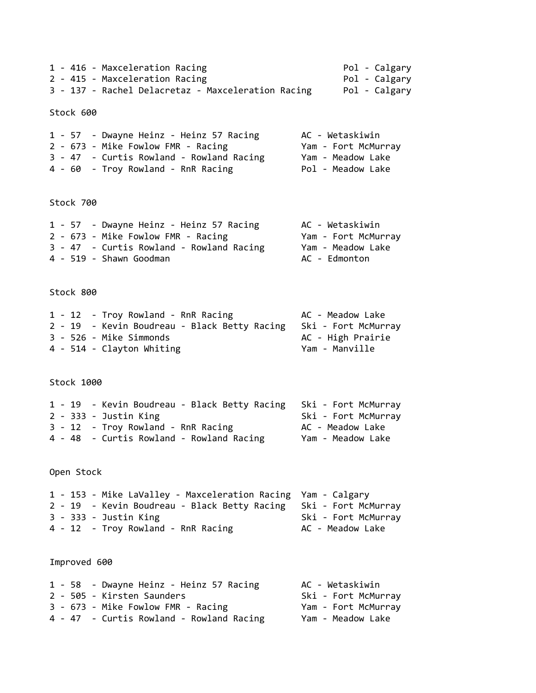1 - 416 - Maxceleration Racing entitled and the Pol - Calgary 2 - 415 - Maxceleration Racing **Pol - Calgary** 3 - 137 - Rachel Delacretaz - Maxceleration Racing Pol - Calgary Stock 600 1 - 57 - Dwayne Heinz - Heinz 57 Racing AC - Wetaskiwin 2 - 673 - Mike Fowlow FMR - Racing Yam - Fort McMurray 3 - 47 - Curtis Rowland - Rowland Racing Yam - Meadow Lake 4 - 60 - Troy Rowland - RnR Racing Pol - Meadow Lake Stock 700 1 - 57 - Dwayne Heinz - Heinz 57 Racing AC - Wetaskiwin 2 - 673 - Mike Fowlow FMR - Racing Yam - Fort McMurray 3 - 47 - Curtis Rowland - Rowland Racing Yam - Meadow Lake 4 - 519 - Shawn Goodman AC - Edmonton Stock 800 1 - 12 - Troy Rowland - RnR Racing AC - Meadow Lake 2 - 19 - Kevin Boudreau - Black Betty Racing Ski - Fort McMurray 3 - 526 - Mike Simmonds<br>
20 - High Prairie 4 - 514 - Clayton Whiting The Control of the Yam - Manville Stock 1000 1 - 19 - Kevin Boudreau - Black Betty Racing Ski - Fort McMurray 2 - 333 - Justin King Ski - Fort McMurray 3 - 12 - Troy Rowland - RnR Racing AC - Meadow Lake 4 - 48 - Curtis Rowland - Rowland Racing Yam - Meadow Lake Open Stock 1 - 153 - Mike LaValley - Maxceleration Racing Yam - Calgary 2 - 19 - Kevin Boudreau - Black Betty Racing Ski - Fort McMurray 3 - 333 - Justin King Ski - Fort McMurray 4 - 12 - Troy Rowland - RnR Racing AC - Meadow Lake Improved 600 1 - 58 - Dwayne Heinz - Heinz 57 Racing AC - Wetaskiwin 2 - 505 - Kirsten Saunders Sammers Ski - Fort McMurray 3 - 673 - Mike Fowlow FMR - Racing Yam - Fort McMurray 4 - 47 - Curtis Rowland - Rowland Racing Yam - Meadow Lake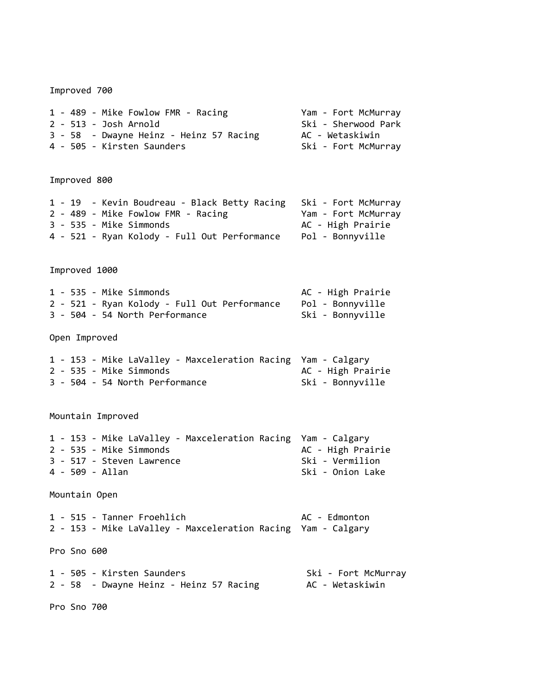Improved 700 1 - 489 - Mike Fowlow FMR - Racing Yam - Fort McMurray 2 - 513 - Josh Arnold Ski - Sherwood Park 3 - 58 - Dwayne Heinz - Heinz 57 Racing AC - Wetaskiwin 4 - 505 - Kirsten Saunders Ski - Fort McMurray Improved 800 1 - 19 - Kevin Boudreau - Black Betty Racing Ski - Fort McMurray 2 - 489 - Mike Fowlow FMR - Racing Yam - Fort McMurray 3 - 535 - Mike Simmonds AC - High Prairie 4 - 521 - Ryan Kolody - Full Out Performance Pol - Bonnyville Improved 1000 1 - 535 - Mike Simmonds AC - High Prairie 2 - 521 - Ryan Kolody - Full Out Performance Pol - Bonnyville 3 - 504 - 54 North Performance<br>
Ski - Bonnyville Open Improved 1 - 153 - Mike LaValley - Maxceleration Racing Yam - Calgary 2 - 535 - Mike Simmonds<br>
2 - 535 - Mike Simmonds 3 - 504 - 54 North Performance<br>
Ski - Bonnyville Mountain Improved 1 - 153 - Mike LaValley - Maxceleration Racing Yam - Calgary 2 - 535 - Mike Simmonds<br>
2 - 535 - Mike Simmonds 3 - 517 - Steven Lawrence<br>4 - 509 - Allan Sandard Ski - Vermilion<br>Ski - Onion Lake Ski - Onion Lake Mountain Open 1 - 515 - Tanner Froehlich AC - Edmonton 2 - 153 - Mike LaValley - Maxceleration Racing Yam - Calgary Pro Sno 600 1 - 505 - Kirsten Saunders Ski - Fort McMurray 2 - 58 - Dwayne Heinz - Heinz 57 Racing AC - Wetaskiwin Pro Sno 700